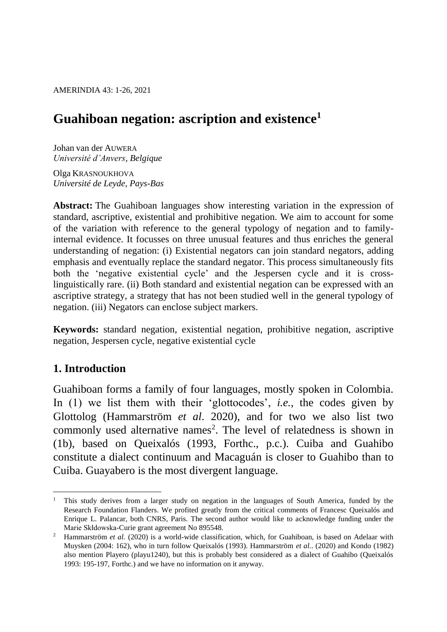AMERINDIA 43: 1-26, 2021

# **Guahiboan negation: ascription and existence<sup>1</sup>**

Johan van der AUWERA *Université d'Anvers, Belgique*

Olga KRASNOUKHOVA *Université de Leyde, Pays-Bas*

**Abstract:** The Guahiboan languages show interesting variation in the expression of standard, ascriptive, existential and prohibitive negation. We aim to account for some of the variation with reference to the general typology of negation and to familyinternal evidence. It focusses on three unusual features and thus enriches the general understanding of negation: (i) Existential negators can join standard negators, adding emphasis and eventually replace the standard negator. This process simultaneously fits both the 'negative existential cycle' and the Jespersen cycle and it is crosslinguistically rare. (ii) Both standard and existential negation can be expressed with an ascriptive strategy, a strategy that has not been studied well in the general typology of negation. (iii) Negators can enclose subject markers.

**Keywords:** standard negation, existential negation, prohibitive negation, ascriptive negation, Jespersen cycle, negative existential cycle

### **1. Introduction**

Guahiboan forms a family of four languages, mostly spoken in Colombia. In (1) we list them with their 'glottocodes', *i.e.*, the codes given by Glottolog (Hammarström *et al*. 2020), and for two we also list two commonly used alternative names<sup>2</sup>. The level of relatedness is shown in (1b), based on Queixalós (1993, Forthc., p.c.). Cuiba and Guahibo constitute a dialect continuum and Macaguán is closer to Guahibo than to Cuiba. Guayabero is the most divergent language.

 $\overline{a}$ <sup>1</sup> This study derives from a larger study on negation in the languages of South America, funded by the Research Foundation Flanders. We profited greatly from the critical comments of Francesc Queixalós and Enrique L. Palancar, both CNRS, Paris. The second author would like to acknowledge funding under the Marie Skłdowska-Curie grant agreement No 895548.

<sup>&</sup>lt;sup>2</sup> Hammarström *et al.* (2020) is a world-wide classification, which, for Guahiboan, is based on Adelaar with Muysken (2004: 162), who in turn follow Queixalós (1993). Hammarström *et al.*. (2020) and Kondo (1982) also mention Playero (playu1240), but this is probably best considered as a dialect of Guahibo (Queixalós 1993: 195-197, Forthc.) and we have no information on it anyway.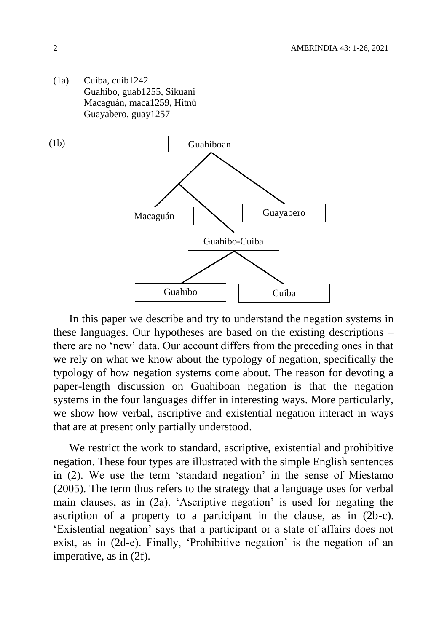(1a) Cuiba, cuib1242 Guahibo, guab1255, Sikuani Macaguán, maca1259, Hitnü Guayabero, guay1257



In this paper we describe and try to understand the negation systems in these languages. Our hypotheses are based on the existing descriptions – there are no 'new' data. Our account differs from the preceding ones in that we rely on what we know about the typology of negation, specifically the typology of how negation systems come about. The reason for devoting a paper-length discussion on Guahiboan negation is that the negation systems in the four languages differ in interesting ways. More particularly, we show how verbal, ascriptive and existential negation interact in ways that are at present only partially understood.

We restrict the work to standard, ascriptive, existential and prohibitive negation. These four types are illustrated with the simple English sentences in (2). We use the term 'standard negation' in the sense of Miestamo (2005). The term thus refers to the strategy that a language uses for verbal main clauses, as in (2a). 'Ascriptive negation' is used for negating the ascription of a property to a participant in the clause, as in (2b-c). 'Existential negation' says that a participant or a state of affairs does not exist, as in (2d-e). Finally, 'Prohibitive negation' is the negation of an imperative, as in (2f).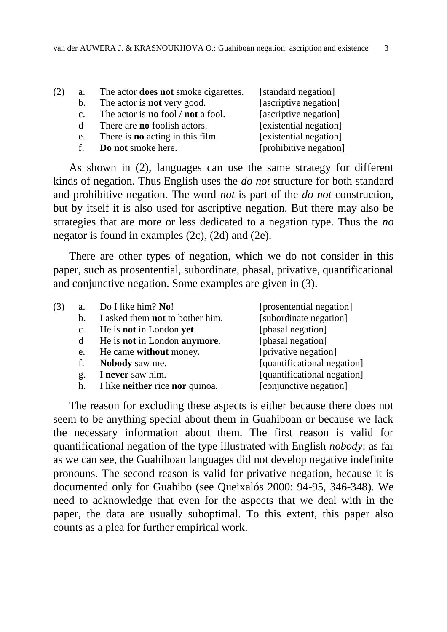| (2) | a.           | The actor <b>does not</b> smoke cigarettes.      | [standard negation]    |
|-----|--------------|--------------------------------------------------|------------------------|
|     | b.           | The actor is <b>not</b> very good.               | [ascriptive negation]  |
|     | $C_{\star}$  | The actor is <b>no</b> fool / <b>not</b> a fool. | [ascriptive negation]  |
|     | <sub>d</sub> | There are <b>no</b> foolish actors.              | [existential negation] |
|     | e.           | There is <b>no</b> acting in this film.          | [existential negation] |
|     | $f_{\perp}$  | Do not smoke here.                               | [prohibitive negation] |
|     |              |                                                  |                        |

As shown in (2), languages can use the same strategy for different kinds of negation. Thus English uses the *do not* structure for both standard and prohibitive negation. The word *not* is part of the *do not* construction, but by itself it is also used for ascriptive negation. But there may also be strategies that are more or less dedicated to a negation type. Thus the *no* negator is found in examples (2c), (2d) and (2e).

There are other types of negation, which we do not consider in this paper, such as prosentential, subordinate, phasal, privative, quantificational and conjunctive negation. Some examples are given in (3).

| (3) | a.             | Do I like him? No!                     | [prosentential negation]    |
|-----|----------------|----------------------------------------|-----------------------------|
|     | $\mathbf{b}$ . | I asked them <b>not</b> to bother him. | [subordinate negation]      |
|     | $\mathbf{c}$ . | He is not in London yet.               | [phasal negation]           |
|     | d              | He is not in London anymore.           | [phasal negation]           |
|     | e.             | He came without money.                 | [privative negation]        |
|     | f.             | <b>Nobody</b> saw me.                  | [quantificational negation] |
|     | g.             | I never saw him.                       | [quantificational negation] |
|     | h.             | I like neither rice nor quinoa.        | [conjunctive negation]      |
|     |                |                                        |                             |

The reason for excluding these aspects is either because there does not seem to be anything special about them in Guahiboan or because we lack the necessary information about them. The first reason is valid for quantificational negation of the type illustrated with English *nobody*: as far as we can see, the Guahiboan languages did not develop negative indefinite pronouns. The second reason is valid for privative negation, because it is documented only for Guahibo (see Queixalós 2000: 94-95, 346-348). We need to acknowledge that even for the aspects that we deal with in the paper, the data are usually suboptimal. To this extent, this paper also counts as a plea for further empirical work.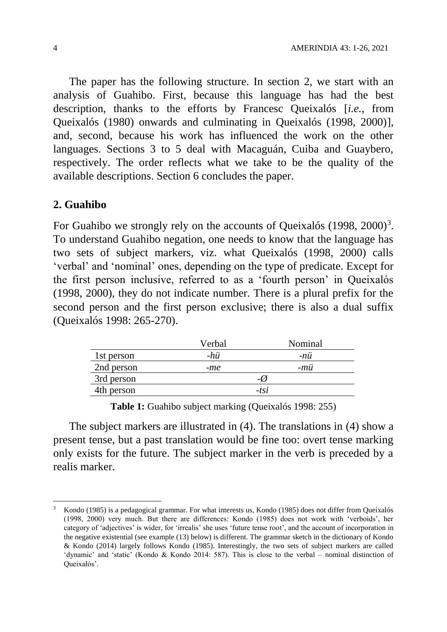The paper has the following structure. In section 2, we start with an analysis of Guahibo. First, because this language has had the best description, thanks to the efforts by Francesc Queixalós [*i.e.*, from Queixalós (1980) onwards and culminating in Queixalós (1998, 2000)], and, second, because his work has influenced the work on the other languages. Sections 3 to 5 deal with Macaguán, Cuiba and Guaybero, respectively. The order reflects what we take to be the quality of the available descriptions. Section 6 concludes the paper.

#### **2. Guahibo**

 $\overline{a}$ 

For Guahibo we strongly rely on the accounts of Queixalós  $(1998, 2000)^3$ . To understand Guahibo negation, one needs to know that the language has two sets of subject markers, viz. what Queixalós (1998, 2000) calls 'verbal' and 'nominal' ones, depending on the type of predicate. Except for the first person inclusive, referred to as a 'fourth person' in Queixalós (1998, 2000), they do not indicate number. There is a plural prefix for the second person and the first person exclusive; there is also a dual suffix (Queixalós 1998: 265-270).

|            | Verbal | Nominal |
|------------|--------|---------|
| 1st person | -hü    | -nü     |
| 2nd person | -me    | -mü     |
| 3rd person |        | -0      |
| 4th person |        | $-tsi$  |
|            |        |         |

**Table 1:** Guahibo subject marking (Queixalós 1998: 255)

The subject markers are illustrated in (4). The translations in (4) show a present tense, but a past translation would be fine too: overt tense marking only exists for the future. The subject marker in the verb is preceded by a realis marker.

<sup>3</sup> Kondo (1985) is a pedagogical grammar. For what interests us, Kondo (1985) does not differ from Queixalós (1998, 2000) very much. But there are differences: Kondo (1985) does not work with 'verboids', her category of 'adjectives' is wider, for 'irrealis' she uses 'future tense root', and the account of incorporation in the negative existential (see example (13) below) is different. The grammar sketch in the dictionary of Kondo & Kondo (2014) largely follows Kondo (1985). Interestingly, the two sets of subject markers are called 'dynamic' and 'static' (Kondo & Kondo 2014: 587). This is close to the verbal – nominal distinction of Queixalós'.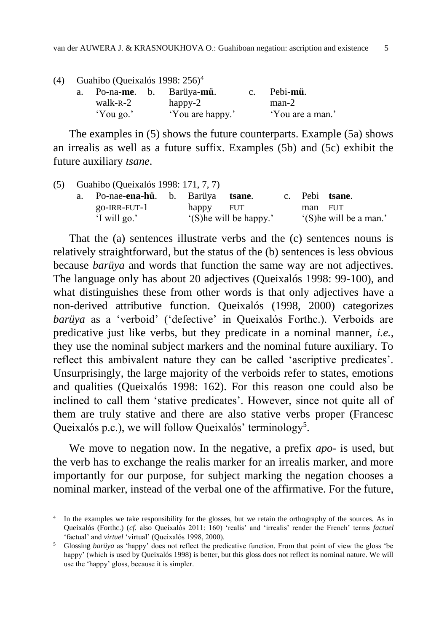| (4) |  |  | Guahibo (Queixalós 1998: $256$ ) <sup>4</sup> |
|-----|--|--|-----------------------------------------------|
|-----|--|--|-----------------------------------------------|

 $\overline{a}$ 

| Po-na- <b>me</b> . b. | Barüya- <b>mü</b> . | Pebi-mü.         |
|-----------------------|---------------------|------------------|
| walk-R-2              | happy-2             | $man-2$          |
| 'You go.'             | 'You are happy.'    | 'You are a man.' |

The examples in (5) shows the future counterparts. Example (5a) shows an irrealis as well as a future suffix. Examples (5b) and (5c) exhibit the future auxiliary *tsane*.

|  | (5) Guahibo (Queixalós 1998: 171, 7, 7) |           |                         |         |                         |
|--|-----------------------------------------|-----------|-------------------------|---------|-------------------------|
|  | a. Po-nae- <b>ena-hü</b> . b. Barüya    |           | tsane.                  |         | c. Pebi tsane.          |
|  | $go$ -IRR-FUT- $1$                      | happy FUT |                         | man FUT |                         |
|  | 'I will go.'                            |           | '(S) he will be happy.' |         | '(S) he will be a man.' |

That the (a) sentences illustrate verbs and the (c) sentences nouns is relatively straightforward, but the status of the (b) sentences is less obvious because *barüya* and words that function the same way are not adjectives. The language only has about 20 adjectives (Queixalós 1998: 99-100), and what distinguishes these from other words is that only adjectives have a non-derived attributive function. Queixalós (1998, 2000) categorizes *barüya* as a 'verboid' ('defective' in Queixalós Forthc.). Verboids are predicative just like verbs, but they predicate in a nominal manner, *i.e.*, they use the nominal subject markers and the nominal future auxiliary. To reflect this ambivalent nature they can be called 'ascriptive predicates'. Unsurprisingly, the large majority of the verboids refer to states, emotions and qualities (Queixalós 1998: 162). For this reason one could also be inclined to call them 'stative predicates'. However, since not quite all of them are truly stative and there are also stative verbs proper (Francesc Queixalós p.c.), we will follow Queixalós' terminology<sup>5</sup>.

We move to negation now. In the negative, a prefix *apo*- is used, but the verb has to exchange the realis marker for an irrealis marker, and more importantly for our purpose, for subject marking the negation chooses a nominal marker, instead of the verbal one of the affirmative. For the future,

<sup>&</sup>lt;sup>4</sup> In the examples we take responsibility for the glosses, but we retain the orthography of the sources. As in Queixalós (Forthc.) (*cf.* also Queixalós 2011: 160) 'realis' and 'irrealis' render the French' terms *factuel* 'factual' and *virtuel* 'virtual' (Queixalós 1998, 2000).

<sup>5</sup> Glossing *barüya* as 'happy' does not reflect the predicative function. From that point of view the gloss 'be happy' (which is used by Queixalós 1998) is better, but this gloss does not reflect its nominal nature. We will use the 'happy' gloss, because it is simpler.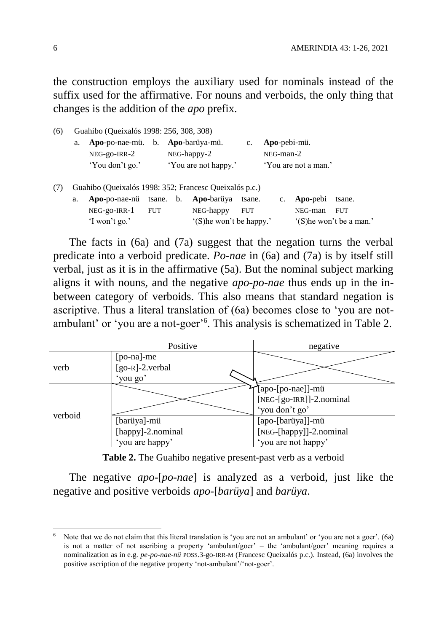the construction employs the auxiliary used for nominals instead of the suffix used for the affirmative. For nouns and verboids, the only thing that changes is the addition of the *apo* prefix.

| (6) | Guahibo (Queixalós 1998: 256, 308, 308) |                                                        |                          |               |                      |                |                |                      |                          |
|-----|-----------------------------------------|--------------------------------------------------------|--------------------------|---------------|----------------------|----------------|----------------|----------------------|--------------------------|
|     | a.                                      | Apo-po-nae-mü. b. Apo-barüya-mü.                       |                          |               |                      | $\mathbf{c}$ . | Apo-pebi-mü.   |                      |                          |
|     |                                         | $NEG-go-IRR-2$                                         |                          | $NEG-happy-2$ |                      |                | $NEG$ -man-2   |                      |                          |
|     |                                         | 'You don't go.'                                        |                          |               | 'You are not happy.' |                |                | 'You are not a man.' |                          |
|     |                                         | Guahibo (Queixalós 1998: 352; Francesc Queixalós p.c.) |                          |               |                      |                |                |                      |                          |
|     | a.                                      | Apo-po-nae-nu tsane. b.                                |                          |               | Apo-barüya           | tsane.         | $\mathbf{c}$ . | Apo-pebi             | tsane.                   |
|     |                                         | NEG-go-IRR-1                                           | <b>FUT</b>               |               | NEG-happy            | <b>FUT</b>     |                | NEG-man              | <b>FUT</b>               |
|     |                                         | 'I won't go.'                                          | '(S) he won't be happy.' |               |                      |                |                |                      | '(S) he won't be a man.' |

The facts in (6a) and (7a) suggest that the negation turns the verbal predicate into a verboid predicate. *Po-nae* in (6a) and (7a) is by itself still verbal, just as it is in the affirmative (5a). But the nominal subject marking aligns it with nouns, and the negative *apo-po-nae* thus ends up in the inbetween category of verboids. This also means that standard negation is ascriptive. Thus a literal translation of (6a) becomes close to 'you are notambulant' or 'you are a not-goer'<sup>6</sup>. This analysis is schematized in Table 2.



**Table 2.** The Guahibo negative present-past verb as a verboid

The negative *apo*-[*po*-*nae*] is analyzed as a verboid, just like the negative and positive verboids *apo*-[*barüya*] and *barüya*.

Note that we do not claim that this literal translation is 'you are not an ambulant' or 'you are not a goer'. (6a) is not a matter of not ascribing a property 'ambulant/goer' – the 'ambulant/goer' meaning requires a nominalization as in e.g. *pe-po-nae-nü* POSS.3-go-IRR-M (Francesc Queixalós p.c.). Instead, (6a) involves the positive ascription of the negative property 'not-ambulant'/'not-goer'.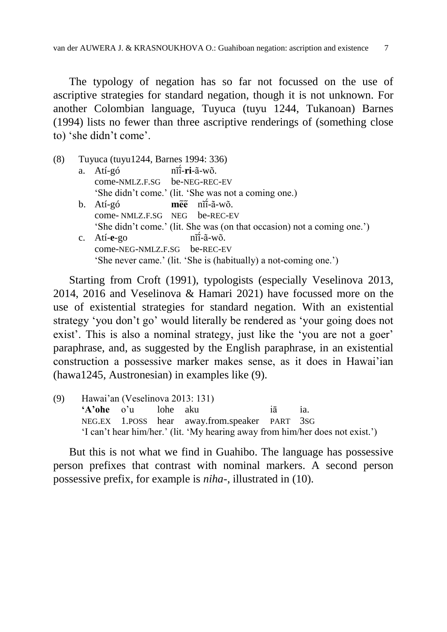The typology of negation has so far not focussed on the use of ascriptive strategies for standard negation, though it is not unknown. For another Colombian language, Tuyuca (tuyu 1244, Tukanoan) Barnes (1994) lists no fewer than three ascriptive renderings of (something close to) 'she didn't come'.

| (8) |    | Tuyuca (tuyu1244, Barnes 1994: 336) |                                                                         |  |  |  |  |  |
|-----|----|-------------------------------------|-------------------------------------------------------------------------|--|--|--|--|--|
|     | a. | Atí-gó                              | nĩi-ri-ã-wõ.                                                            |  |  |  |  |  |
|     |    | come-NMLZ.F.SG be-NEG-REC-EV        |                                                                         |  |  |  |  |  |
|     |    |                                     | 'She didn't come.' (lit. 'She was not a coming one.)                    |  |  |  |  |  |
|     | b. | Atí-gó                              | $m\tilde{e}\tilde{e}$ $n\tilde{n}$ - $\tilde{a}$ -w $\tilde{o}$ .       |  |  |  |  |  |
|     |    | come-NMLZ.F.SG NEG be-REC-EV        |                                                                         |  |  |  |  |  |
|     |    |                                     | 'She didn't come.' (lit. She was (on that occasion) not a coming one.') |  |  |  |  |  |
|     |    | c. $Ati-e-go$                       | $n\tilde{i}-\tilde{a}-w\tilde{o}$ .                                     |  |  |  |  |  |
|     |    | come-NEG-NMLZ.F.SG be-REC-EV        |                                                                         |  |  |  |  |  |
|     |    |                                     | 'She never came.' (lit. 'She is (habitually) a not-coming one.')        |  |  |  |  |  |

Starting from Croft (1991), typologists (especially Veselinova 2013, 2014, 2016 and Veselinova & Hamari 2021) have focussed more on the use of existential strategies for standard negation. With an existential strategy 'you don't go' would literally be rendered as 'your going does not exist'. This is also a nominal strategy, just like the 'you are not a goer' paraphrase, and, as suggested by the English paraphrase, in an existential construction a possessive marker makes sense, as it does in Hawai'ian (hawa1245, Austronesian) in examples like (9).

(9) Hawai'an (Veselinova 2013: 131) **'A'ohe** o'u lohe aku iā ia. NEG.EX 1.POSS hear away.from.speaker PART 3SG 'I can't hear him/her.' (lit. 'My hearing away from him/her does not exist.')

But this is not what we find in Guahibo. The language has possessive person prefixes that contrast with nominal markers. A second person possessive prefix, for example is *niha*-, illustrated in (10).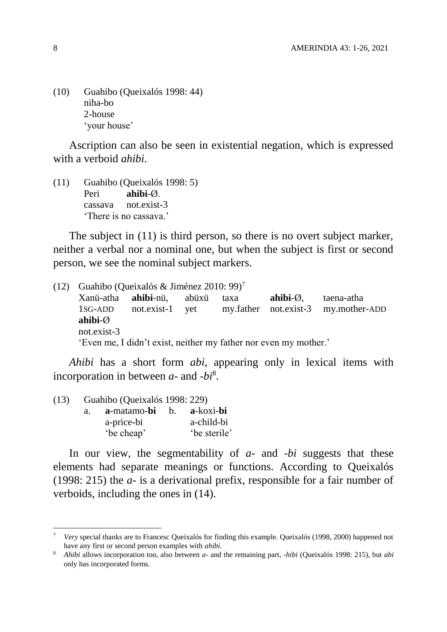(10) Guahibo (Queixalós 1998: 44) niha-bo 2-house 'your house'

Ascription can also be seen in existential negation, which is expressed with a verboid *ahibi*.

(11) Guahibo (Queixalós 1998: 5) Peri **ahibi**-Ø. cassava not.exist-3 'There is no cassava.'

The subject in (11) is third person, so there is no overt subject marker, neither a verbal nor a nominal one, but when the subject is first or second person, we see the nominal subject markers.

(12) Guahibo (Queixalós & Jiménez 2010: 99)<sup>7</sup> Xanü-atha **ahibi**-nü, abüxü taxa **ahibi**-Ø, taena-atha 1SG-ADD not.exist-1 yet my.father not.exist-3 my.mother-ADD **ahibi**-Ø not.exist-3 'Even me, I didn't exist, neither my father nor even my mother.'

*Ahibi* has a short form *abi*, appearing only in lexical items with incorporation in between *a*- and *-bi*<sup>8</sup> .

| $a_{-}$ |            |                                                                                           |
|---------|------------|-------------------------------------------------------------------------------------------|
|         | a-price-bi | a-child-bi                                                                                |
|         | 'be cheap' | 'be sterile'                                                                              |
|         |            | Guahibo (Queixalós 1998: 229)<br><b>a</b> -matamo- <b>bi</b> b. <b>a</b> -koxi- <b>bi</b> |

In our view, the segmentability of *a*- and -*bi* suggests that these elements had separate meanings or functions. According to Queixalós (1998: 215) the *a*- is a derivational prefix, responsible for a fair number of verboids, including the ones in (14).

<sup>7</sup> *Very* special thanks are to Francesc Queixalós for finding this example. Queixalós (1998, 2000) happened not have any first or second person examples with *ahibi.*

<sup>8</sup> *Ahibi* allows incorporation too, also between *a-* and the remaining part, *-hibi* (Queixalós 1998: 215), but *abi* only has incorporated forms.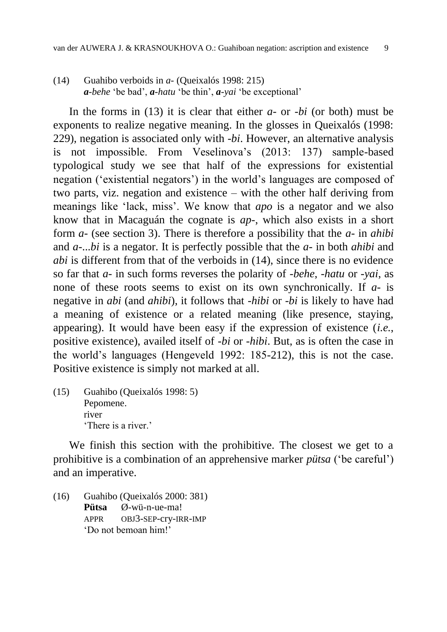(14) Guahibo verboids in *a-* (Queixalós 1998: 215) *a-behe* 'be bad', *a-hatu* 'be thin', *a-yai* 'be exceptional'

In the forms in (13) it is clear that either *a*- or -*bi* (or both) must be exponents to realize negative meaning. In the glosses in Queixalós (1998: 229), negation is associated only with -*bi*. However, an alternative analysis is not impossible. From Veselinova's (2013: 137) sample-based typological study we see that half of the expressions for existential negation ('existential negators') in the world's languages are composed of two parts, viz. negation and existence – with the other half deriving from meanings like 'lack, miss'. We know that *apo* is a negator and we also know that in Macaguán the cognate is *ap*-, which also exists in a short form *a*- (see section 3). There is therefore a possibility that the *a*- in *ahibi* and *a*-...*bi* is a negator. It is perfectly possible that the *a*- in both *ahibi* and *abi* is different from that of the verboids in (14), since there is no evidence so far that *a*- in such forms reverses the polarity of -*behe*, -*hatu* or -*yai*, as none of these roots seems to exist on its own synchronically. If *a*- is negative in *abi* (and *ahibi*), it follows that -*hibi* or -*bi* is likely to have had a meaning of existence or a related meaning (like presence, staying, appearing). It would have been easy if the expression of existence (*i.e.*, positive existence), availed itself of -*bi* or -*hibi*. But, as is often the case in the world's languages (Hengeveld 1992: 185-212), this is not the case. Positive existence is simply not marked at all.

(15) Guahibo (Queixalós 1998: 5) Pepomene. river 'There is a river.'

We finish this section with the prohibitive. The closest we get to a prohibitive is a combination of an apprehensive marker *pütsa* ('be careful') and an imperative.

(16) Guahibo (Queixalós 2000: 381) **Pütsa** Ø-wü-n-ue-ma! APPR OBJ3-SEP-cry-IRR-IMP 'Do not bemoan him!'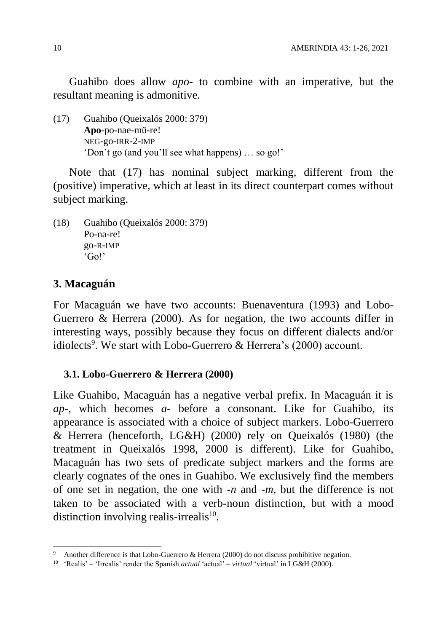Guahibo does allow *apo-* to combine with an imperative, but the resultant meaning is admonitive.

(17) Guahibo (Queixalós 2000: 379) **Apo**-po-nae-mü-re! NEG-go-IRR-2-IMP 'Don't go (and you'll see what happens) … so go!'

Note that (17) has nominal subject marking, different from the (positive) imperative, which at least in its direct counterpart comes without subject marking.

(18) Guahibo (Queixalós 2000: 379) Po-na-re! go-R-IMP 'Go!'

### **3. Macaguán**

 $\overline{a}$ 

For Macaguán we have two accounts: Buenaventura (1993) and Lobo-Guerrero & Herrera (2000). As for negation, the two accounts differ in interesting ways, possibly because they focus on different dialects and/or idiolects<sup>9</sup>. We start with Lobo-Guerrero & Herrera's (2000) account.

### **3.1. Lobo-Guerrero & Herrera (2000)**

Like Guahibo, Macaguán has a negative verbal prefix. In Macaguán it is *ap*-, which becomes *a*- before a consonant. Like for Guahibo, its appearance is associated with a choice of subject markers. Lobo-Guerrero & Herrera (henceforth, LG&H) (2000) rely on Queixalós (1980) (the treatment in Queixalós 1998, 2000 is different). Like for Guahibo, Macaguán has two sets of predicate subject markers and the forms are clearly cognates of the ones in Guahibo. We exclusively find the members of one set in negation, the one with *-n* and *-m*, but the difference is not taken to be associated with a verb-noun distinction, but with a mood distinction involving realis-irrealis<sup>10</sup>.

Another difference is that Lobo-Guerrero & Herrera (2000) do not discuss prohibitive negation.

<sup>10</sup> 'Realis' – 'Irrealis' render the Spanish *actual* 'actual' – *virtual* 'virtual' in LG&H (2000).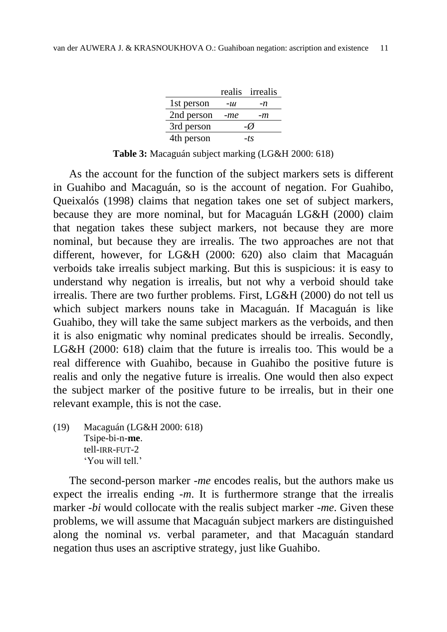|            |     | realis irrealis |
|------------|-----|-----------------|
| 1st person | -ш  | -n              |
| 2nd person | -me | -m              |
| 3rd person |     | -07             |
| 4th person |     | -ts             |

**Table 3:** Macaguán subject marking (LG&H 2000: 618)

As the account for the function of the subject markers sets is different in Guahibo and Macaguán, so is the account of negation. For Guahibo, Queixalós (1998) claims that negation takes one set of subject markers, because they are more nominal, but for Macaguán LG&H (2000) claim that negation takes these subject markers, not because they are more nominal, but because they are irrealis. The two approaches are not that different, however, for LG&H (2000: 620) also claim that Macaguán verboids take irrealis subject marking. But this is suspicious: it is easy to understand why negation is irrealis, but not why a verboid should take irrealis. There are two further problems. First, LG&H (2000) do not tell us which subject markers nouns take in Macaguán. If Macaguán is like Guahibo, they will take the same subject markers as the verboids, and then it is also enigmatic why nominal predicates should be irrealis. Secondly, LG&H (2000: 618) claim that the future is irrealis too. This would be a real difference with Guahibo, because in Guahibo the positive future is realis and only the negative future is irrealis. One would then also expect the subject marker of the positive future to be irrealis, but in their one relevant example, this is not the case.

(19) Macaguán (LG&H 2000: 618) Tsipe-bi-n-**me**. tell-IRR-FUT-2 'You will tell.'

The second-person marker -*me* encodes realis, but the authors make us expect the irrealis ending -*m*. It is furthermore strange that the irrealis marker -*bi* would collocate with the realis subject marker -*me*. Given these problems, we will assume that Macaguán subject markers are distinguished along the nominal *vs*. verbal parameter, and that Macaguán standard negation thus uses an ascriptive strategy, just like Guahibo.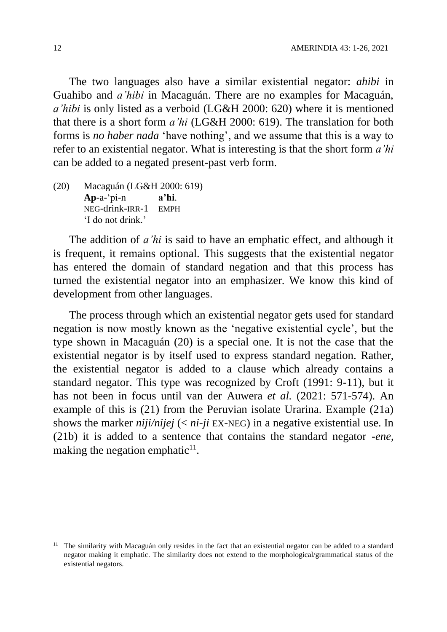The two languages also have a similar existential negator: *ahibi* in Guahibo and *a'hibi* in Macaguán. There are no examples for Macaguán, *a'hibi* is only listed as a verboid (LG&H 2000: 620) where it is mentioned that there is a short form *a'hi* (LG&H 2000: 619). The translation for both forms is *no haber nada* 'have nothing', and we assume that this is a way to refer to an existential negator. What is interesting is that the short form *a'hi* can be added to a negated present-past verb form.

(20) Macaguán (LG&H 2000: 619) **Ap**-a-'pi-n **a'hi**. NEG-drink-IRR-1 EMPH 'I do not drink.'

The addition of *a'hi* is said to have an emphatic effect, and although it is frequent, it remains optional. This suggests that the existential negator has entered the domain of standard negation and that this process has turned the existential negator into an emphasizer. We know this kind of development from other languages.

The process through which an existential negator gets used for standard negation is now mostly known as the 'negative existential cycle', but the type shown in Macaguán (20) is a special one. It is not the case that the existential negator is by itself used to express standard negation. Rather, the existential negator is added to a clause which already contains a standard negator. This type was recognized by Croft (1991: 9-11), but it has not been in focus until van der Auwera *et al.* (2021: 571-574). An example of this is (21) from the Peruvian isolate Urarina. Example (21a) shows the marker *niji/nijej* (< *ni-ji* EX-NEG) in a negative existential use. In (21b) it is added to a sentence that contains the standard negator -*ene*, making the negation emphatic $11$ .

<sup>&</sup>lt;sup>11</sup> The similarity with Macaguán only resides in the fact that an existential negator can be added to a standard negator making it emphatic. The similarity does not extend to the morphological/grammatical status of the existential negators.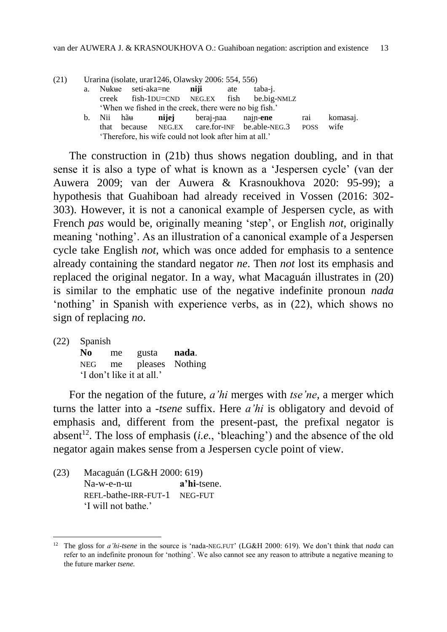| (21) |                                                        | Urarina (isolate, urar1246, Olawsky 2006: 554, 556) |             |       |           |     |                                                        |             |          |  |  |
|------|--------------------------------------------------------|-----------------------------------------------------|-------------|-------|-----------|-----|--------------------------------------------------------|-------------|----------|--|--|
|      | a.                                                     | Nukue                                               | seti-aka=ne |       | niji      | ate | taba-j.                                                |             |          |  |  |
|      |                                                        | creek                                               |             |       |           |     | fish-1DU=CND NEG.EX fish be.big-NMLZ                   |             |          |  |  |
|      |                                                        |                                                     |             |       |           |     | 'When we fished in the creek, there were no big fish.' |             |          |  |  |
|      | $b_{1}$                                                | Nii                                                 | hãu         | nijej | beraj-naa |     | najn-ene                                               | rai         | komasaj. |  |  |
|      |                                                        | that                                                |             |       |           |     | because NEG.EX care.for-INF be.able-NEG.3              | <b>POSS</b> | wife     |  |  |
|      | 'Therefore, his wife could not look after him at all.' |                                                     |             |       |           |     |                                                        |             |          |  |  |

The construction in (21b) thus shows negation doubling, and in that sense it is also a type of what is known as a 'Jespersen cycle' (van der Auwera 2009; van der Auwera & Krasnoukhova 2020: 95-99); a hypothesis that Guahiboan had already received in Vossen (2016: 302- 303). However, it is not a canonical example of Jespersen cycle, as with French *pas* would be, originally meaning 'step', or English *not*, originally meaning 'nothing'. As an illustration of a canonical example of a Jespersen cycle take English *not*, which was once added for emphasis to a sentence already containing the standard negator *ne*. Then *not* lost its emphasis and replaced the original negator. In a way, what Macaguán illustrates in (20) is similar to the emphatic use of the negative indefinite pronoun *nada* 'nothing' in Spanish with experience verbs, as in (22), which shows no sign of replacing *no*.

(22) Spanish

 $\overline{a}$ 

**No** me gusta **nada**. NEG me pleases Nothing 'I don't like it at all.'

For the negation of the future, *a'hi* merges with *tse'ne*, a merger which turns the latter into a -*tsene* suffix. Here *a'hi* is obligatory and devoid of emphasis and, different from the present-past, the prefixal negator is absent<sup>12</sup>. The loss of emphasis  $(i.e., 'bleaching')$  and the absence of the old negator again makes sense from a Jespersen cycle point of view.

(23) Macaguán (LG&H 2000: 619) Na-w-e-n-ɯ **a'hi**-tsene. REFL-bathe-IRR-FUT-1 NEG-FUT 'I will not bathe.'

<sup>12</sup> The gloss for *a'hi-tsene* in the source is 'nada-NEG.FUT' (LG&H 2000: 619). We don't think that *nada* can refer to an indefinite pronoun for 'nothing'. We also cannot see any reason to attribute a negative meaning to the future marker *tsene.*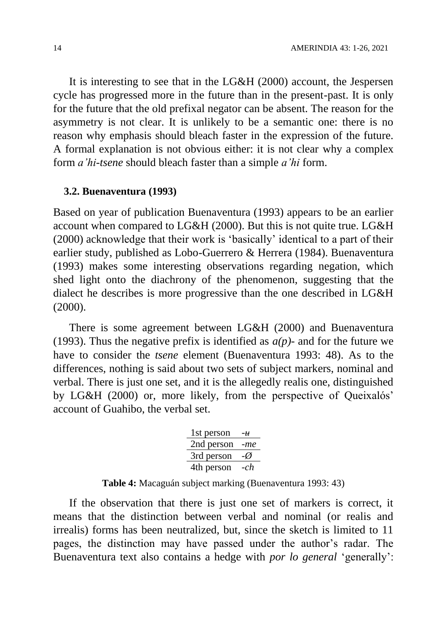It is interesting to see that in the LG&H (2000) account, the Jespersen cycle has progressed more in the future than in the present-past. It is only for the future that the old prefixal negator can be absent. The reason for the asymmetry is not clear. It is unlikely to be a semantic one: there is no reason why emphasis should bleach faster in the expression of the future. A formal explanation is not obvious either: it is not clear why a complex form *a'hi-tsene* should bleach faster than a simple *a'hi* form.

#### **3.2. Buenaventura (1993)**

Based on year of publication Buenaventura (1993) appears to be an earlier account when compared to LG&H (2000). But this is not quite true. LG&H (2000) acknowledge that their work is 'basically' identical to a part of their earlier study, published as Lobo-Guerrero & Herrera (1984). Buenaventura (1993) makes some interesting observations regarding negation, which shed light onto the diachrony of the phenomenon, suggesting that the dialect he describes is more progressive than the one described in LG&H (2000).

There is some agreement between LG&H (2000) and Buenaventura (1993). Thus the negative prefix is identified as *a(p)*- and for the future we have to consider the *tsene* element (Buenaventura 1993: 48). As to the differences, nothing is said about two sets of subject markers, nominal and verbal. There is just one set, and it is the allegedly realis one, distinguished by LG&H (2000) or, more likely, from the perspective of Queixalós' account of Guahibo, the verbal set.

| 1st person | -11   |
|------------|-------|
| 2nd person | -me   |
| 3rd person | -0    |
| 4th person | $-ch$ |

**Table 4:** Macaguán subject marking (Buenaventura 1993: 43)

If the observation that there is just one set of markers is correct, it means that the distinction between verbal and nominal (or realis and irrealis) forms has been neutralized, but, since the sketch is limited to 11 pages, the distinction may have passed under the author's radar. The Buenaventura text also contains a hedge with *por lo general* 'generally':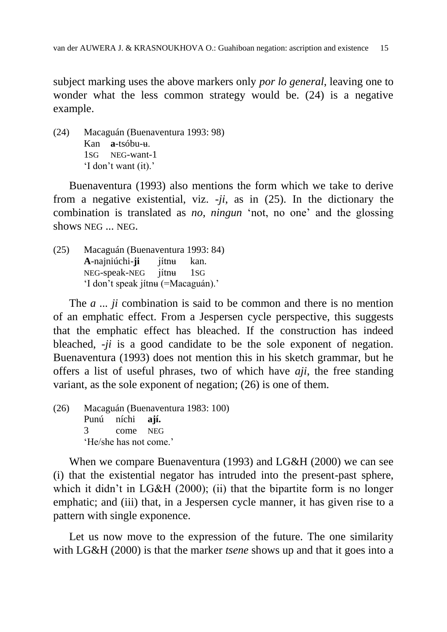subject marking uses the above markers only *por lo general*, leaving one to wonder what the less common strategy would be. (24) is a negative example.

(24) Macaguán (Buenaventura 1993: 98) Kan **a**-tsóbu-ʉ. 1SG NEG-want-1 'I don't want (it).'

Buenaventura (1993) also mentions the form which we take to derive from a negative existential, viz. -*ji*, as in (25). In the dictionary the combination is translated as *no*, *ningun* 'not, no one' and the glossing shows NEG ... NEG.

(25) Macaguán (Buenaventura 1993: 84) **A**-najniúchi-**ji** jítnʉ kan. NEG-speak-NEG jítnʉ 1SG 'I don't speak jítnʉ (=Macaguán).'

The *a ... ji* combination is said to be common and there is no mention of an emphatic effect. From a Jespersen cycle perspective, this suggests that the emphatic effect has bleached. If the construction has indeed bleached, -*ji* is a good candidate to be the sole exponent of negation. Buenaventura (1993) does not mention this in his sketch grammar, but he offers a list of useful phrases, two of which have *aji*, the free standing variant, as the sole exponent of negation; (26) is one of them.

(26) Macaguán (Buenaventura 1983: 100) Punú níchi **ají.** 3 come NEG 'He/she has not come.'

When we compare Buenaventura (1993) and LG&H (2000) we can see (i) that the existential negator has intruded into the present-past sphere, which it didn't in LG&H (2000); (ii) that the bipartite form is no longer emphatic; and (iii) that, in a Jespersen cycle manner, it has given rise to a pattern with single exponence.

Let us now move to the expression of the future. The one similarity with LG&H (2000) is that the marker *tsene* shows up and that it goes into a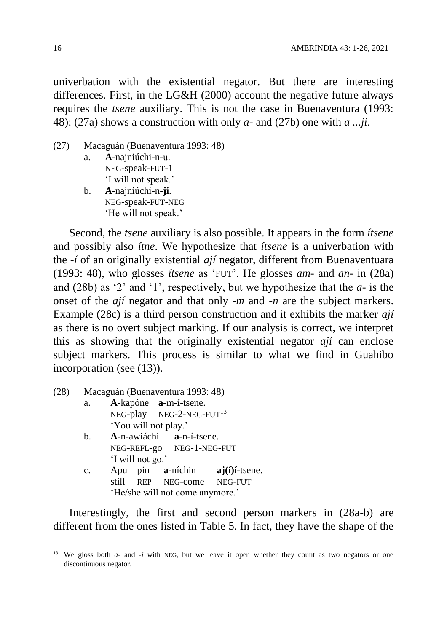univerbation with the existential negator. But there are interesting differences. First, in the LG&H (2000) account the negative future always requires the *tsene* auxiliary. This is not the case in Buenaventura (1993: 48): (27a) shows a construction with only *a*- and (27b) one with *a ...ji*.

- (27) Macaguán (Buenaventura 1993: 48)
	- a. **A**-najniúchi-n-ʉ. NEG-speak-FUT-1 'I will not speak.'
	- b. **A**-najniúchi-n-**ji**. NEG-speak-FUT-NEG 'He will not speak.'

Second, the *tsene* auxiliary is also possible. It appears in the form *ítsene* and possibly also *ítne*. We hypothesize that *ítsene* is a univerbation with the -*í* of an originally existential *ají* negator, different from Buenaventuara (1993: 48), who glosses *ítsene* as 'FUT'. He glosses *am*- and *an*- in (28a) and (28b) as '2' and '1', respectively, but we hypothesize that the *a*- is the onset of the *ají* negator and that only -*m* and -*n* are the subject markers. Example (28c) is a third person construction and it exhibits the marker *ají* as there is no overt subject marking. If our analysis is correct, we interpret this as showing that the originally existential negator *ají* can enclose subject markers. This process is similar to what we find in Guahibo incorporation (see (13)).

- (28) Macaguán (Buenaventura 1993: 48)
	- a. **A**-kapóne **a**-m-**í**-tsene. NEG-play NEG-2-NEG-FUT<sup>13</sup> 'You will not play.'
	- b. **A**-n-awiáchi **a**-n-í-tsene. NEG-REFL-go NEG-1-NEG-FUT 'I will not go.'
	- c. Apu pin **a**-níchin **aj(í)í**-tsene. still REP NEG-come NEG-FUT 'He/she will not come anymore.'

Interestingly, the first and second person markers in (28a-b) are different from the ones listed in Table 5. In fact, they have the shape of the

<sup>13</sup> We gloss both *a-* and *-í* with NEG, but we leave it open whether they count as two negators or one discontinuous negator.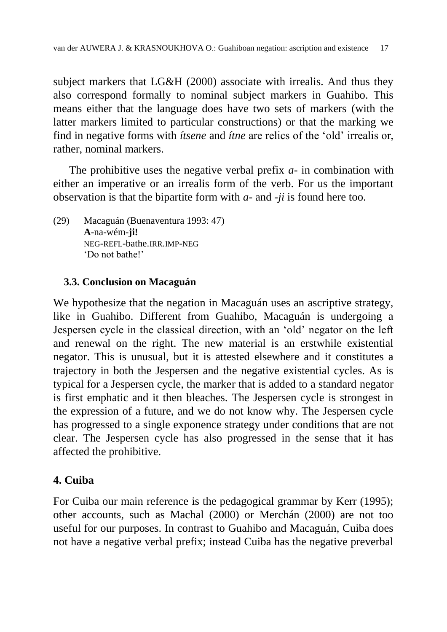subject markers that LG&H (2000) associate with irrealis. And thus they also correspond formally to nominal subject markers in Guahibo. This means either that the language does have two sets of markers (with the latter markers limited to particular constructions) or that the marking we find in negative forms with *ítsene* and *ítne* are relics of the 'old' irrealis or, rather, nominal markers.

The prohibitive uses the negative verbal prefix *a*- in combination with either an imperative or an irrealis form of the verb. For us the important observation is that the bipartite form with *a*- and -*ji* is found here too.

(29) Macaguán (Buenaventura 1993: 47) **A**-na-wém-**ji!** NEG-REFL-bathe.IRR.IMP-NEG 'Do not bathe!'

### **3.3. Conclusion on Macaguán**

We hypothesize that the negation in Macaguán uses an ascriptive strategy, like in Guahibo. Different from Guahibo, Macaguán is undergoing a Jespersen cycle in the classical direction, with an 'old' negator on the left and renewal on the right. The new material is an erstwhile existential negator. This is unusual, but it is attested elsewhere and it constitutes a trajectory in both the Jespersen and the negative existential cycles. As is typical for a Jespersen cycle, the marker that is added to a standard negator is first emphatic and it then bleaches. The Jespersen cycle is strongest in the expression of a future, and we do not know why. The Jespersen cycle has progressed to a single exponence strategy under conditions that are not clear. The Jespersen cycle has also progressed in the sense that it has affected the prohibitive.

# **4. Cuiba**

For Cuiba our main reference is the pedagogical grammar by Kerr (1995); other accounts, such as Machal (2000) or Merchán (2000) are not too useful for our purposes. In contrast to Guahibo and Macaguán, Cuiba does not have a negative verbal prefix; instead Cuiba has the negative preverbal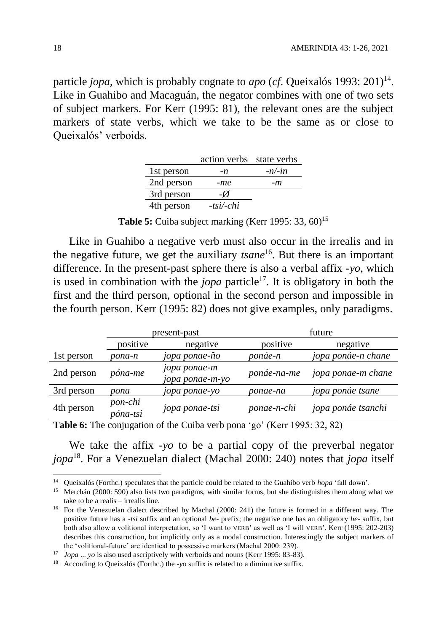particle *jopa*, which is probably cognate to *apo* (*cf*. Queixalós 1993: 201)<sup>14</sup>. Like in Guahibo and Macaguán, the negator combines with one of two sets of subject markers. For Kerr (1995: 81), the relevant ones are the subject markers of state verbs, which we take to be the same as or close to Queixalós' verboids.

|            | action verbs state verbs |           |
|------------|--------------------------|-----------|
| 1st person | -n                       | $-n/$ -in |
| 2nd person | -me                      | -m        |
| 3rd person | $-\varnothing$           |           |
| 4th person | $-tsi$ -chi              |           |

**Table 5:** Cuiba subject marking (Kerr 1995: 33, 60)<sup>15</sup>

Like in Guahibo a negative verb must also occur in the irrealis and in the negative future, we get the auxiliary *tsane*<sup>16</sup>. But there is an important difference. In the present-past sphere there is also a verbal affix -*yo*, which is used in combination with the *jopa* particle<sup>17</sup>. It is obligatory in both the first and the third person, optional in the second person and impossible in the fourth person. Kerr (1995: 82) does not give examples, only paradigms.

|            | present-past        |                                 | future      |                    |
|------------|---------------------|---------------------------------|-------------|--------------------|
|            | positive            | negative                        | positive    | negative           |
| 1st person | pona-n              | jopa ponae-ño                   | ponáe-n     | jopa ponáe-n chane |
| 2nd person | póna-me             | jopa ponae-m<br>јора ропае-т-уо | ponáe-na-me | jopa ponae-m chane |
| 3rd person | pona                | 10ра ропае-уо                   | ponae-na    | jopa ponáe tsane   |
| 4th person | pon-chi<br>póna-tsi | <i>jopa ponae-tsi</i>           | ponae-n-chi | jopa ponáe tsanchi |

**Table 6:** The conjugation of the Cuiba verb pona 'go' (Kerr 1995: 32, 82)

We take the affix -*yo* to be a partial copy of the preverbal negator *jopa*<sup>18</sup>. For a Venezuelan dialect (Machal 2000: 240) notes that *jopa* itself

<sup>14</sup> Queixalós (Forthc.) speculates that the particle could be related to the Guahibo verb *hopa* 'fall down'.

<sup>&</sup>lt;sup>15</sup> Merchán (2000: 590) also lists two paradigms, with similar forms, but she distinguishes them along what we take to be a realis – irrealis line.

<sup>&</sup>lt;sup>16</sup> For the Venezuelan dialect described by Machal (2000: 241) the future is formed in a different way. The positive future has a *-tsi* suffix and an optional *be-* prefix; the negative one has an obligatory *be-* suffix, but both also allow a volitional interpretation, so 'I want to VERB' as well as 'I will VERB'. Kerr (1995: 202-203) describes this construction, but implicitly only as a modal construction. Interestingly the subject markers of the 'volitional-future' are identical to possessive markers (Machal 2000: 239).

<sup>&</sup>lt;sup>17</sup> *Jopa* ... *yo* is also used ascriptively with verboids and nouns (Kerr 1995: 83-83).

<sup>18</sup> According to Queixalós (Forthc.) the *-yo* suffix is related to a diminutive suffix.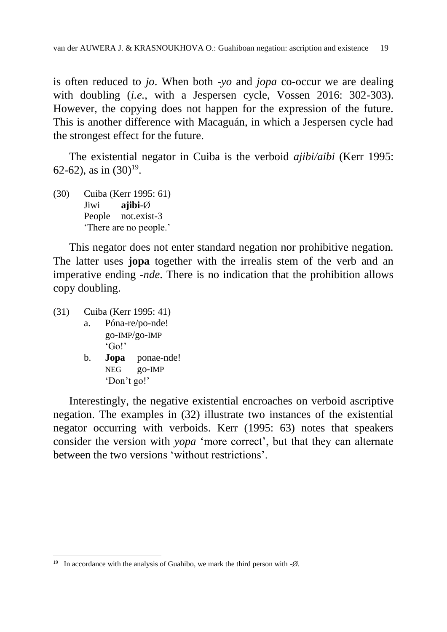is often reduced to *jo*. When both -*yo* and *jopa* co-occur we are dealing with doubling (*i.e.*, with a Jespersen cycle, Vossen 2016: 302-303). However, the copying does not happen for the expression of the future. This is another difference with Macaguán, in which a Jespersen cycle had the strongest effect for the future.

The existential negator in Cuiba is the verboid *ajibi/aibi* (Kerr 1995: 62-62), as in  $(30)^{19}$ .

(30) Cuiba (Kerr 1995: 61) Jiwi **ajibi**-Ø People not.exist-3 'There are no people.'

This negator does not enter standard negation nor prohibitive negation. The latter uses **jopa** together with the irrealis stem of the verb and an imperative ending -*nde*. There is no indication that the prohibition allows copy doubling.

(31) Cuiba (Kerr 1995: 41)

 $\overline{a}$ 

- a. Póna-re/po-nde! go-IMP/go-IMP 'Go!'
- b. **Jopa** ponae-nde! NEG go-IMP 'Don't go!'

Interestingly, the negative existential encroaches on verboid ascriptive negation. The examples in (32) illustrate two instances of the existential negator occurring with verboids. Kerr (1995: 63) notes that speakers consider the version with *yopa* 'more correct', but that they can alternate between the two versions 'without restrictions'.

<sup>&</sup>lt;sup>19</sup> In accordance with the analysis of Guahibo, we mark the third person with  $-\varnothing$ .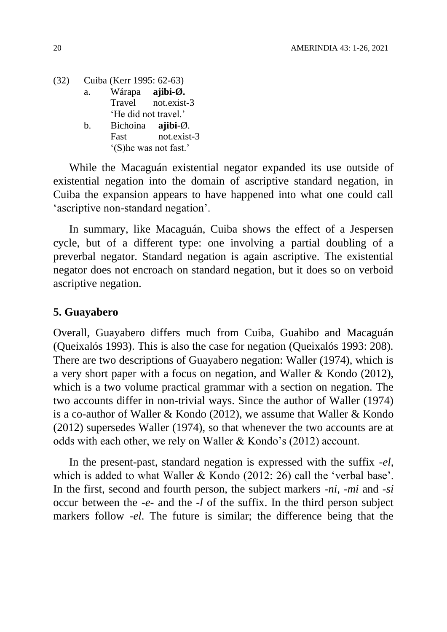(32) Cuiba (Kerr 1995: 62-63) a. Wárapa **ajibi-Ø.** Travel not.exist-3 'He did not travel.' b. Bichoina **ajibi**-Ø.

Fast not exist-3 '(S)he was not fast.'

While the Macaguán existential negator expanded its use outside of existential negation into the domain of ascriptive standard negation, in Cuiba the expansion appears to have happened into what one could call 'ascriptive non-standard negation'.

In summary, like Macaguán, Cuiba shows the effect of a Jespersen cycle, but of a different type: one involving a partial doubling of a preverbal negator. Standard negation is again ascriptive. The existential negator does not encroach on standard negation, but it does so on verboid ascriptive negation.

#### **5. Guayabero**

Overall, Guayabero differs much from Cuiba, Guahibo and Macaguán (Queixalós 1993). This is also the case for negation (Queixalós 1993: 208). There are two descriptions of Guayabero negation: Waller (1974), which is a very short paper with a focus on negation, and Waller & Kondo (2012), which is a two volume practical grammar with a section on negation. The two accounts differ in non-trivial ways. Since the author of Waller (1974) is a co-author of Waller & Kondo (2012), we assume that Waller & Kondo (2012) supersedes Waller (1974), so that whenever the two accounts are at odds with each other, we rely on Waller & Kondo's (2012) account.

In the present-past, standard negation is expressed with the suffix -*el*, which is added to what Waller & Kondo (2012: 26) call the 'verbal base'. In the first, second and fourth person, the subject markers -*ni*, -*mi* and -*si* occur between the -*e*- and the -*l* of the suffix. In the third person subject markers follow -*el*. The future is similar; the difference being that the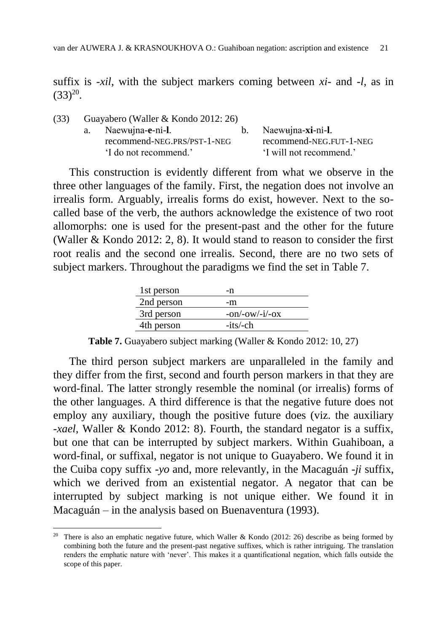suffix is -*xil*, with the subject markers coming between *xi*- and -*l*, as in  $(33)^{20}$ .

| (33) | Guayabero (Waller & Kondo 2012: 26) |                         |
|------|-------------------------------------|-------------------------|
|      | a. Naewujna-e-ni-l.                 | b. Naewujna-xi-ni-l.    |
|      | recommend-NEG.PRS/PST-1-NEG         | recommend-NEG.FUT-1-NEG |
|      | 'I do not recommend.'               | 'I will not recommend.' |

This construction is evidently different from what we observe in the three other languages of the family. First, the negation does not involve an irrealis form. Arguably, irrealis forms do exist, however. Next to the socalled base of the verb, the authors acknowledge the existence of two root allomorphs: one is used for the present-past and the other for the future (Waller & Kondo 2012: 2, 8). It would stand to reason to consider the first root realis and the second one irrealis. Second, there are no two sets of subject markers. Throughout the paradigms we find the set in Table 7.

| 1st person | -n               |
|------------|------------------|
| 2nd person | -m               |
| 3rd person | $-on/-ow/-i/-ox$ |
| 4th person | $-its/-ch$       |

**Table 7.** Guayabero subject marking (Waller & Kondo 2012: 10, 27)

The third person subject markers are unparalleled in the family and they differ from the first, second and fourth person markers in that they are word-final. The latter strongly resemble the nominal (or irrealis) forms of the other languages. A third difference is that the negative future does not employ any auxiliary, though the positive future does (viz. the auxiliary -*xael*, Waller & Kondo 2012: 8). Fourth, the standard negator is a suffix, but one that can be interrupted by subject markers. Within Guahiboan, a word-final, or suffixal, negator is not unique to Guayabero. We found it in the Cuiba copy suffix -*yo* and, more relevantly, in the Macaguán -*ji* suffix, which we derived from an existential negator. A negator that can be interrupted by subject marking is not unique either. We found it in Macaguán – in the analysis based on Buenaventura (1993).

<sup>&</sup>lt;sup>20</sup> There is also an emphatic negative future, which Waller & Kondo (2012: 26) describe as being formed by combining both the future and the present-past negative suffixes, which is rather intriguing. The translation renders the emphatic nature with 'never'. This makes it a quantificational negation, which falls outside the scope of this paper.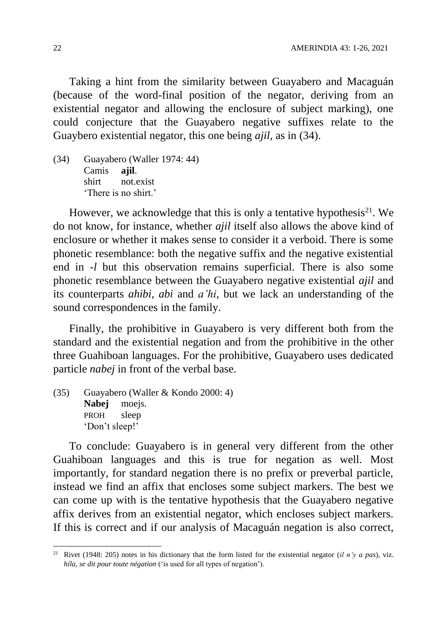Taking a hint from the similarity between Guayabero and Macaguán (because of the word-final position of the negator, deriving from an existential negator and allowing the enclosure of subject marking), one could conjecture that the Guayabero negative suffixes relate to the Guaybero existential negator, this one being *ajil*, as in (34).

(34) Guayabero (Waller 1974: 44) Camis **ajil**. shirt not.exist 'There is no shirt.'

However, we acknowledge that this is only a tentative hypothesis<sup>21</sup>. We do not know, for instance, whether *ajil* itself also allows the above kind of enclosure or whether it makes sense to consider it a verboid. There is some phonetic resemblance: both the negative suffix and the negative existential end in -*l* but this observation remains superficial. There is also some phonetic resemblance between the Guayabero negative existential *ajil* and its counterparts *ahibi*, *abi* and *a'hi*, but we lack an understanding of the sound correspondences in the family.

Finally, the prohibitive in Guayabero is very different both from the standard and the existential negation and from the prohibitive in the other three Guahiboan languages. For the prohibitive, Guayabero uses dedicated particle *nabej* in front of the verbal base.

(35) Guayabero (Waller & Kondo 2000: 4) **Nabej** moejs. PROH sleep 'Don't sleep!'

To conclude: Guayabero is in general very different from the other Guahiboan languages and this is true for negation as well. Most importantly, for standard negation there is no prefix or preverbal particle, instead we find an affix that encloses some subject markers. The best we can come up with is the tentative hypothesis that the Guayabero negative affix derives from an existential negator, which encloses subject markers. If this is correct and if our analysis of Macaguán negation is also correct,

<sup>&</sup>lt;sup>21</sup> Rivet (1948: 205) notes in his dictionary that the form listed for the existential negator (*il n'y a pas*), viz. *híla, se dit pour toute négation* ('is used for all types of negation').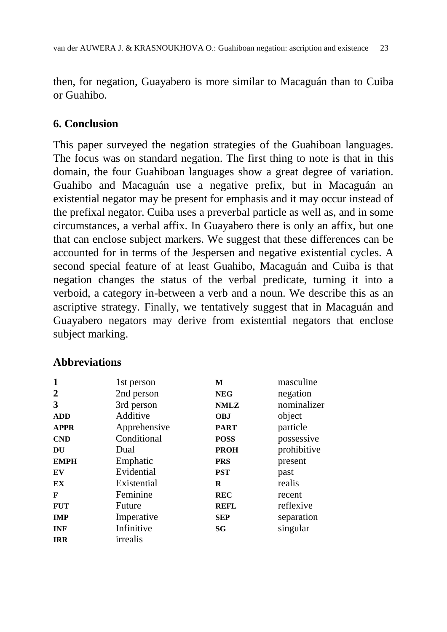then, for negation, Guayabero is more similar to Macaguán than to Cuiba or Guahibo.

## **6. Conclusion**

This paper surveyed the negation strategies of the Guahiboan languages. The focus was on standard negation. The first thing to note is that in this domain, the four Guahiboan languages show a great degree of variation. Guahibo and Macaguán use a negative prefix, but in Macaguán an existential negator may be present for emphasis and it may occur instead of the prefixal negator. Cuiba uses a preverbal particle as well as, and in some circumstances, a verbal affix. In Guayabero there is only an affix, but one that can enclose subject markers. We suggest that these differences can be accounted for in terms of the Jespersen and negative existential cycles. A second special feature of at least Guahibo, Macaguán and Cuiba is that negation changes the status of the verbal predicate, turning it into a verboid, a category in-between a verb and a noun. We describe this as an ascriptive strategy. Finally, we tentatively suggest that in Macaguán and Guayabero negators may derive from existential negators that enclose subject marking.

### **Abbreviations**

| 1              | 1st person   | М           | masculine   |
|----------------|--------------|-------------|-------------|
| $\overline{2}$ | 2nd person   | <b>NEG</b>  | negation    |
| 3              | 3rd person   | <b>NMLZ</b> | nominalizer |
| <b>ADD</b>     | Additive     | <b>OBJ</b>  | object      |
| <b>APPR</b>    | Apprehensive | <b>PART</b> | particle    |
| <b>CND</b>     | Conditional  | <b>POSS</b> | possessive  |
| DU             | Dual         | <b>PROH</b> | prohibitive |
| <b>EMPH</b>    | Emphatic     | <b>PRS</b>  | present     |
| EV             | Evidential   | <b>PST</b>  | past        |
| EX             | Existential  | R           | realis      |
| F              | Feminine     | <b>REC</b>  | recent      |
| <b>FUT</b>     | Future       | <b>REFL</b> | reflexive   |
| <b>IMP</b>     | Imperative   | <b>SEP</b>  | separation  |
| <b>INF</b>     | Infinitive   | SG          | singular    |
| <b>IRR</b>     | irrealis     |             |             |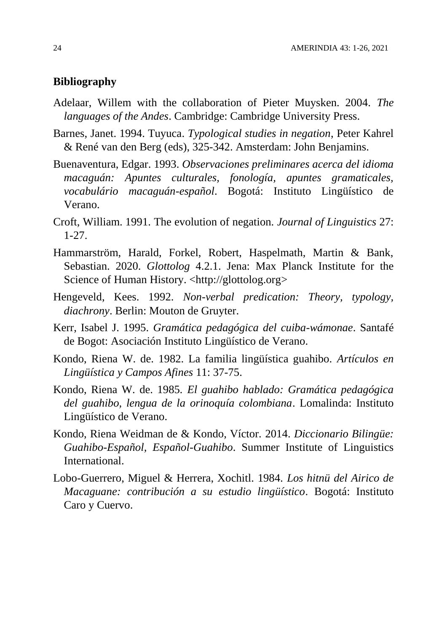#### **Bibliography**

- Adelaar, Willem with the collaboration of Pieter Muysken. 2004. *The languages of the Andes*. Cambridge: Cambridge University Press.
- Barnes, Janet. 1994. Tuyuca. *Typological studies in negation*, Peter Kahrel & René van den Berg (eds), 325-342. Amsterdam: John Benjamins.
- Buenaventura, Edgar. 1993. *Observaciones preliminares acerca del idioma macaguán: Apuntes culturales, fonología, apuntes gramaticales, vocabulário macaguán-español*. Bogotá: Instituto Lingüístico de Verano.
- Croft, William. 1991. The evolution of negation. *Journal of Linguistics* 27: 1-27.
- Hammarström, Harald, Forkel, Robert, Haspelmath, Martin & Bank, Sebastian. 2020. *Glottolog* 4.2.1. Jena: Max Planck Institute for the Science of Human History. [<http://glottolog.org>](http://glottolog.org/)
- Hengeveld, Kees. 1992. *Non-verbal predication: Theory, typology, diachrony*. Berlin: Mouton de Gruyter.
- Kerr, Isabel J. 1995. *Gramática pedagógica del cuiba-wámonae*. Santafé de Bogot: Asociación Instituto Lingüístico de Verano.
- Kondo, Riena W. de. 1982. La familia lingüística guahibo. *Artículos en Lingüística y Campos Afines* 11: 37-75.
- Kondo, Riena W. de. 1985*. El guahibo hablado: Gramática pedagógica del guahibo, lengua de la orinoquía colombiana*. Lomalinda: Instituto Lingüístico de Verano.
- Kondo, Riena Weidman de & Kondo, Víctor. 2014. *Diccionario Bilingüe: Guahibo-Español, Español-Guahibo*. Summer Institute of Linguistics International.
- Lobo-Guerrero, Miguel & Herrera, Xochitl. 1984*. Los hitnü del Airico de Macaguane: contribución a su estudio lingüístico*. Bogotá: Instituto Caro y Cuervo.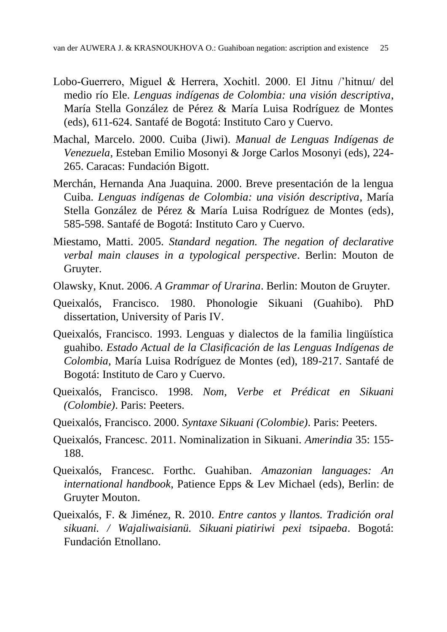- Lobo-Guerrero, Miguel & Herrera, Xochitl. 2000. El Jitnu /'hitnɯ/ del medio río Ele. *Lenguas indígenas de Colombia: una visión descriptiva*, María Stella González de Pérez & María Luisa Rodríguez de Montes (eds), 611-624. Santafé de Bogotá: Instituto Caro y Cuervo.
- Machal, Marcelo. 2000. Cuiba (Jiwi). *Manual de Lenguas Indígenas de Venezuela*, Esteban Emilio Mosonyi & Jorge Carlos Mosonyi (eds), 224- 265. Caracas: Fundación Bigott.
- Merchán, Hernanda Ana Juaquina. 2000. Breve presentación de la lengua Cuiba. *Lenguas indígenas de Colombia: una visión descriptiva*, María Stella González de Pérez & María Luisa Rodríguez de Montes (eds), 585-598. Santafé de Bogotá: Instituto Caro y Cuervo.
- Miestamo, Matti. 2005. *Standard negation. The negation of declarative verbal main clauses in a typological perspective*. Berlin: Mouton de Gruyter.
- Olawsky, Knut. 2006. *A Grammar of Urarina*. Berlin: Mouton de Gruyter.
- Queixalós, Francisco. 1980. Phonologie Sikuani (Guahibo). PhD dissertation, University of Paris IV.
- Queixalós, Francisco. 1993. Lenguas y dialectos de la familia lingüística guahibo. *Estado Actual de la Clasificación de las Lenguas Indígenas de Colombia*, María Luisa Rodríguez de Montes (ed), 189-217. Santafé de Bogotá: Instituto de Caro y Cuervo.
- Queixalós, Francisco. 1998. *Nom, Verbe et Prédicat en Sikuani (Colombie)*. Paris: Peeters.
- Queixalós, Francisco. 2000. *Syntaxe Sikuani (Colombie)*. Paris: Peeters.
- Queixalós, Francesc. 2011. Nominalization in Sikuani. *Amerindia* 35: 155- 188.
- Queixalós, Francesc. Forthc. Guahiban. *Amazonian languages: An international handbook*, Patience Epps & Lev Michael (eds), Berlin: de Gruyter Mouton.
- Queixalós, F. & Jiménez, R. 2010. *Entre cantos y llantos. Tradición oral sikuani. / Wajaliwaisianü. Sikuani piatiriwi pexi tsipaeba*. Bogotá: Fundación Etnollano.